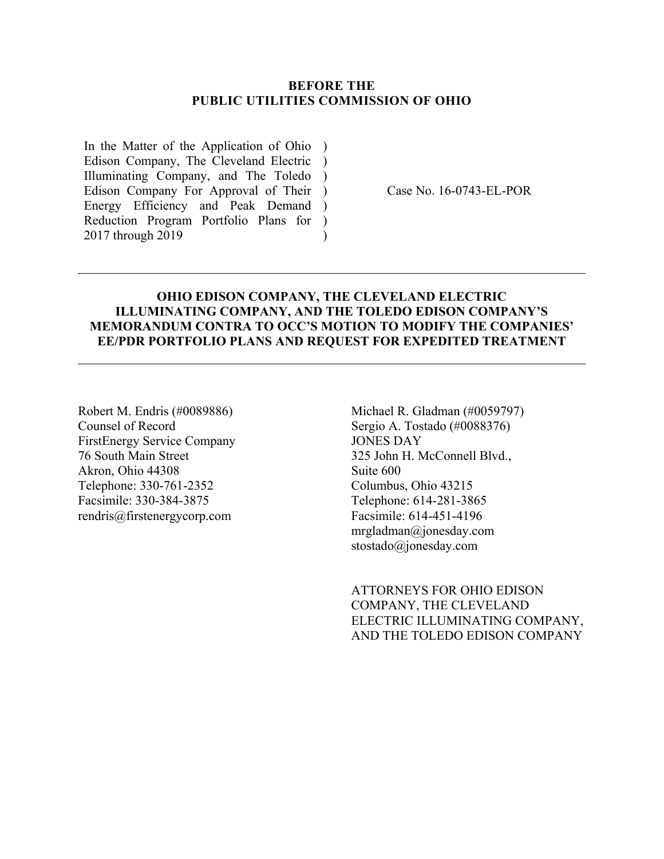#### **BEFORE THE PUBLIC UTILITIES COMMISSION OF OHIO**

In the Matter of the Application of Ohio ) Edison Company, The Cleveland Electric ) Illuminating Company, and The Toledo ) Edison Company For Approval of Their ) Energy Efficiency and Peak Demand ) Reduction Program Portfolio Plans for ) 2017 through 2019  $\lambda$ 

Case No. 16-0743-EL-POR

#### **OHIO EDISON COMPANY, THE CLEVELAND ELECTRIC ILLUMINATING COMPANY, AND THE TOLEDO EDISON COMPANY'S MEMORANDUM CONTRA TO OCC'S MOTION TO MODIFY THE COMPANIES' EE/PDR PORTFOLIO PLANS AND REQUEST FOR EXPEDITED TREATMENT**

Robert M. Endris (#0089886) Counsel of Record FirstEnergy Service Company 76 South Main Street Akron, Ohio 44308 Telephone: 330-761-2352 Facsimile: 330-384-3875 rendris@firstenergycorp.com

Michael R. Gladman (#0059797) Sergio A. Tostado (#0088376) JONES DAY 325 John H. McConnell Blvd., Suite 600 Columbus, Ohio 43215 Telephone: 614-281-3865 Facsimile: 614-451-4196 mrgladman@jonesday.com stostado@jonesday.com

ATTORNEYS FOR OHIO EDISON COMPANY, THE CLEVELAND ELECTRIC ILLUMINATING COMPANY, AND THE TOLEDO EDISON COMPANY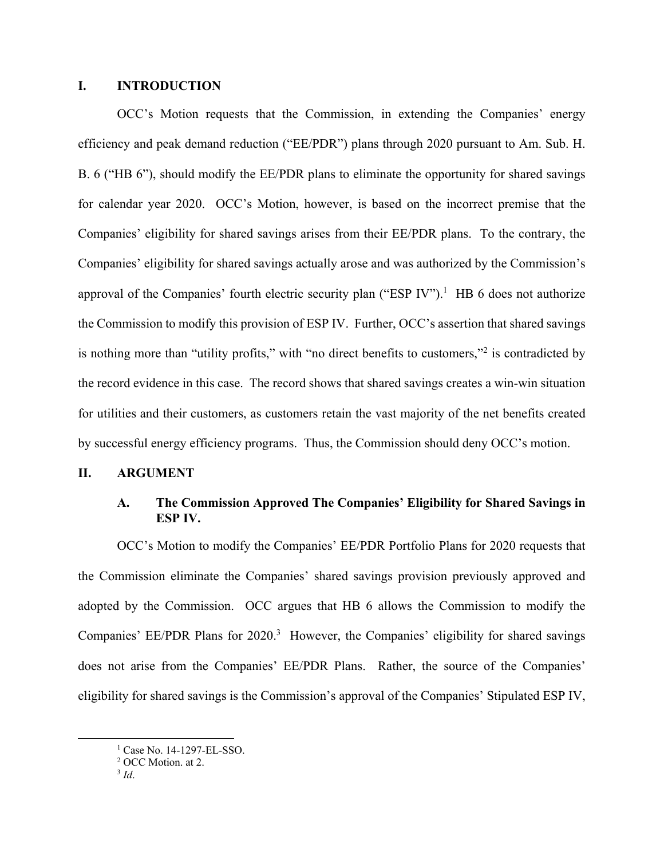#### **I. INTRODUCTION**

OCC's Motion requests that the Commission, in extending the Companies' energy efficiency and peak demand reduction ("EE/PDR") plans through 2020 pursuant to Am. Sub. H. B. 6 ("HB 6"), should modify the EE/PDR plans to eliminate the opportunity for shared savings for calendar year 2020. OCC's Motion, however, is based on the incorrect premise that the Companies' eligibility for shared savings arises from their EE/PDR plans. To the contrary, the Companies' eligibility for shared savings actually arose and was authorized by the Commission's approval of the Companies' fourth electric security plan ("ESP IV").<sup>1</sup> HB 6 does not authorize the Commission to modify this provision of ESP IV. Further, OCC's assertion that shared savings is nothing more than "utility profits," with "no direct benefits to customers,"<sup>2</sup> is contradicted by the record evidence in this case. The record shows that shared savings creates a win-win situation for utilities and their customers, as customers retain the vast majority of the net benefits created by successful energy efficiency programs. Thus, the Commission should deny OCC's motion.

# **II. ARGUMENT**

# **A. The Commission Approved The Companies' Eligibility for Shared Savings in ESP IV.**

OCC's Motion to modify the Companies' EE/PDR Portfolio Plans for 2020 requests that the Commission eliminate the Companies' shared savings provision previously approved and adopted by the Commission. OCC argues that HB 6 allows the Commission to modify the Companies' EE/PDR Plans for  $2020$ .<sup>3</sup> However, the Companies' eligibility for shared savings does not arise from the Companies' EE/PDR Plans. Rather, the source of the Companies' eligibility for shared savings is the Commission's approval of the Companies' Stipulated ESP IV,

<sup>&</sup>lt;u>1</u> <sup>1</sup> Case No. 14-1297-EL-SSO.

<sup>2</sup> OCC Motion. at 2.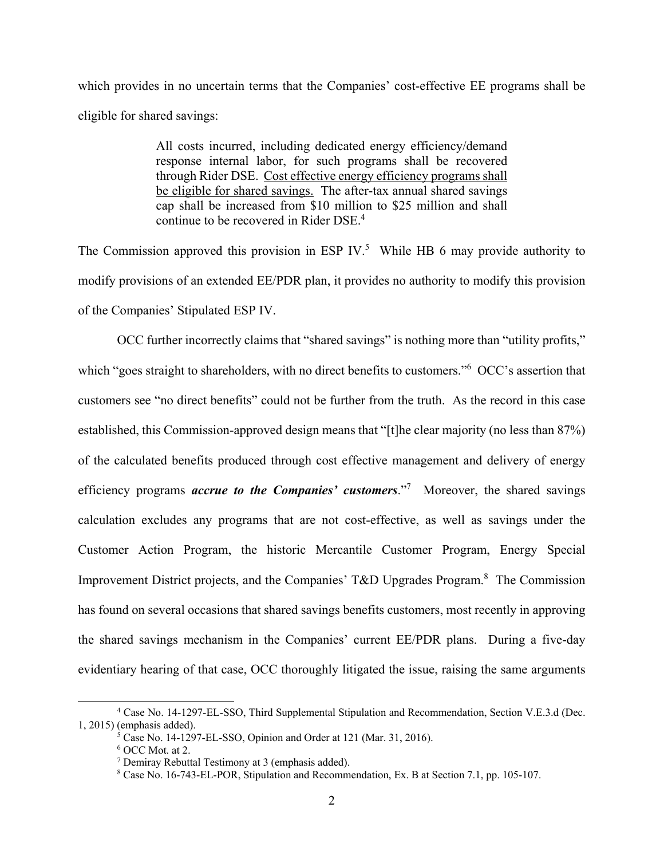which provides in no uncertain terms that the Companies' cost-effective EE programs shall be eligible for shared savings:

> All costs incurred, including dedicated energy efficiency/demand response internal labor, for such programs shall be recovered through Rider DSE. Cost effective energy efficiency programs shall be eligible for shared savings. The after-tax annual shared savings cap shall be increased from \$10 million to \$25 million and shall continue to be recovered in Rider DSE.<sup>4</sup>

The Commission approved this provision in ESP IV.<sup>5</sup> While HB 6 may provide authority to modify provisions of an extended EE/PDR plan, it provides no authority to modify this provision of the Companies' Stipulated ESP IV.

OCC further incorrectly claims that "shared savings" is nothing more than "utility profits," which "goes straight to shareholders, with no direct benefits to customers."<sup>6</sup> OCC's assertion that customers see "no direct benefits" could not be further from the truth. As the record in this case established, this Commission-approved design means that "[t]he clear majority (no less than 87%) of the calculated benefits produced through cost effective management and delivery of energy efficiency programs *accrue to the Companies' customers*.<sup>"7</sup> Moreover, the shared savings calculation excludes any programs that are not cost-effective, as well as savings under the Customer Action Program, the historic Mercantile Customer Program, Energy Special Improvement District projects, and the Companies' T&D Upgrades Program.<sup>8</sup> The Commission has found on several occasions that shared savings benefits customers, most recently in approving the shared savings mechanism in the Companies' current EE/PDR plans. During a five-day evidentiary hearing of that case, OCC thoroughly litigated the issue, raising the same arguments

 $\overline{4}$  Case No. 14-1297-EL-SSO, Third Supplemental Stipulation and Recommendation, Section V.E.3.d (Dec. 1, 2015) (emphasis added).

<sup>5</sup> Case No. 14-1297-EL-SSO, Opinion and Order at 121 (Mar. 31, 2016).

<sup>6</sup> OCC Mot. at 2.

<sup>&</sup>lt;sup>7</sup> Demiray Rebuttal Testimony at 3 (emphasis added).

<sup>8</sup> Case No. 16-743-EL-POR, Stipulation and Recommendation, Ex. B at Section 7.1, pp. 105-107.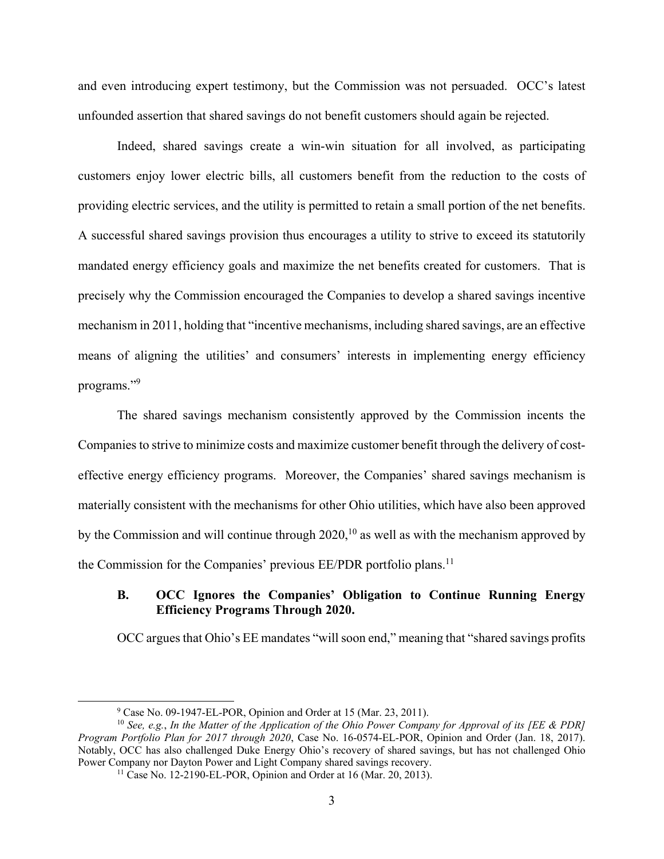and even introducing expert testimony, but the Commission was not persuaded. OCC's latest unfounded assertion that shared savings do not benefit customers should again be rejected.

Indeed, shared savings create a win-win situation for all involved, as participating customers enjoy lower electric bills, all customers benefit from the reduction to the costs of providing electric services, and the utility is permitted to retain a small portion of the net benefits. A successful shared savings provision thus encourages a utility to strive to exceed its statutorily mandated energy efficiency goals and maximize the net benefits created for customers. That is precisely why the Commission encouraged the Companies to develop a shared savings incentive mechanism in 2011, holding that "incentive mechanisms, including shared savings, are an effective means of aligning the utilities' and consumers' interests in implementing energy efficiency programs."<sup>9</sup>

The shared savings mechanism consistently approved by the Commission incents the Companies to strive to minimize costs and maximize customer benefit through the delivery of costeffective energy efficiency programs. Moreover, the Companies' shared savings mechanism is materially consistent with the mechanisms for other Ohio utilities, which have also been approved by the Commission and will continue through  $2020$ ,<sup>10</sup> as well as with the mechanism approved by the Commission for the Companies' previous EE/PDR portfolio plans.<sup>11</sup>

### **B. OCC Ignores the Companies' Obligation to Continue Running Energy Efficiency Programs Through 2020.**

OCC argues that Ohio's EE mandates "will soon end," meaning that "shared savings profits

 $\frac{1}{9}$ Case No. 09-1947-EL-POR, Opinion and Order at 15 (Mar. 23, 2011).

<sup>10</sup> *See, e.g.*, *In the Matter of the Application of the Ohio Power Company for Approval of its [EE & PDR] Program Portfolio Plan for 2017 through 2020*, Case No. 16-0574-EL-POR, Opinion and Order (Jan. 18, 2017). Notably, OCC has also challenged Duke Energy Ohio's recovery of shared savings, but has not challenged Ohio Power Company nor Dayton Power and Light Company shared savings recovery. 11 Case No. 12-2190-EL-POR, Opinion and Order at 16 (Mar. 20, 2013).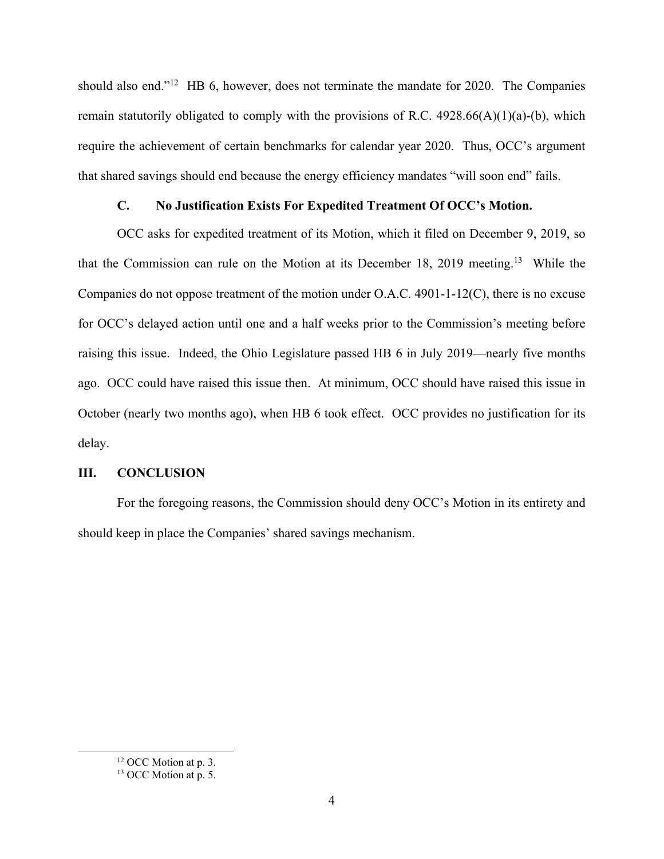should also end."<sup>12</sup> HB 6, however, does not terminate the mandate for 2020. The Companies remain statutorily obligated to comply with the provisions of R.C.  $4928.66(A)(1)(a)-(b)$ , which require the achievement of certain benchmarks for calendar year 2020. Thus, OCC's argument that shared savings should end because the energy efficiency mandates "will soon end" fails.

# **C. No Justification Exists For Expedited Treatment Of OCC's Motion.**

OCC asks for expedited treatment of its Motion, which it filed on December 9, 2019, so that the Commission can rule on the Motion at its December 18, 2019 meeting.<sup>13</sup> While the Companies do not oppose treatment of the motion under O.A.C. 4901-1-12(C), there is no excuse for OCC's delayed action until one and a half weeks prior to the Commission's meeting before raising this issue. Indeed, the Ohio Legislature passed HB 6 in July 2019—nearly five months ago. OCC could have raised this issue then. At minimum, OCC should have raised this issue in October (nearly two months ago), when HB 6 took effect. OCC provides no justification for its delay.

#### **III. CONCLUSION**

For the foregoing reasons, the Commission should deny OCC's Motion in its entirety and should keep in place the Companies' shared savings mechanism.

<sup>&</sup>lt;sup>12</sup> OCC Motion at p. 3.

<sup>&</sup>lt;sup>13</sup> OCC Motion at p. 5.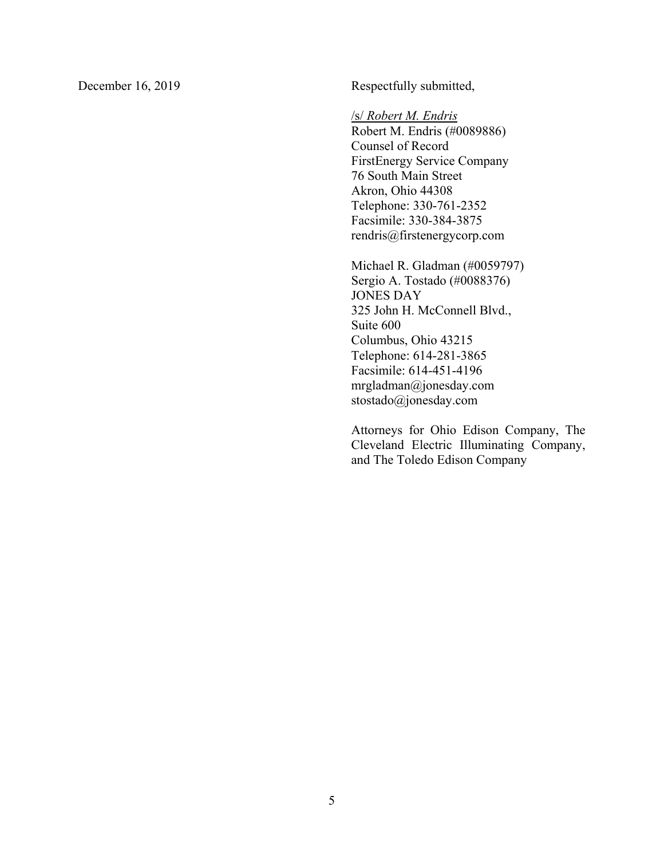December 16, 2019 Respectfully submitted,

/s/ *Robert M. Endris*

Robert M. Endris (#0089886) Counsel of Record FirstEnergy Service Company 76 South Main Street Akron, Ohio 44308 Telephone: 330-761-2352 Facsimile: 330-384-3875 rendris@firstenergycorp.com

Michael R. Gladman (#0059797) Sergio A. Tostado (#0088376) JONES DAY 325 John H. McConnell Blvd., Suite 600 Columbus, Ohio 43215 Telephone: 614-281-3865 Facsimile: 614-451-4196 mrgladman@jonesday.com stostado@jonesday.com

Attorneys for Ohio Edison Company, The Cleveland Electric Illuminating Company, and The Toledo Edison Company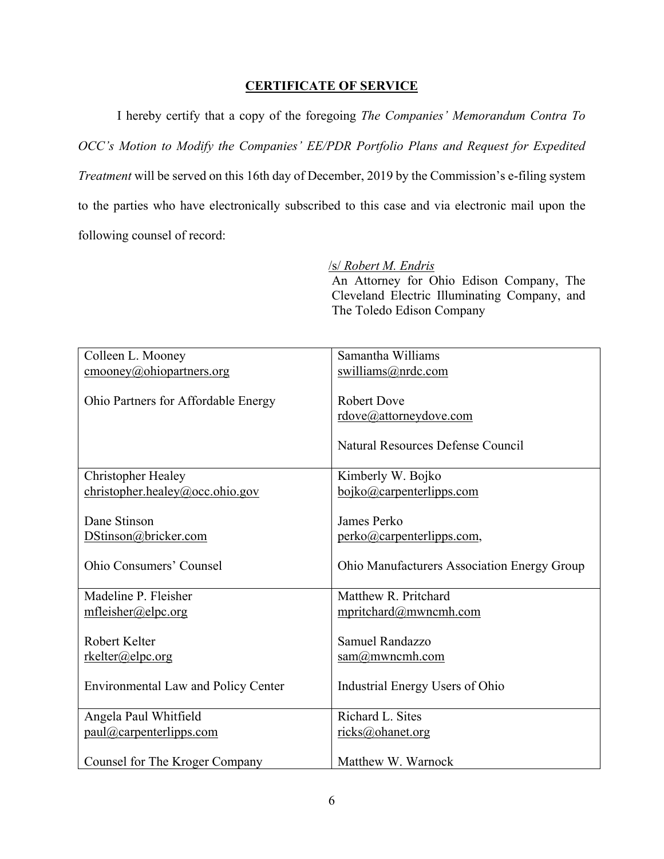# **CERTIFICATE OF SERVICE**

I hereby certify that a copy of the foregoing *The Companies' Memorandum Contra To OCC's Motion to Modify the Companies' EE/PDR Portfolio Plans and Request for Expedited Treatment* will be served on this 16th day of December, 2019 by the Commission's e-filing system to the parties who have electronically subscribed to this case and via electronic mail upon the following counsel of record:

# /s/ *Robert M. Endris*

An Attorney for Ohio Edison Company, The Cleveland Electric Illuminating Company, and The Toledo Edison Company

| Colleen L. Mooney                                       | Samantha Williams                           |
|---------------------------------------------------------|---------------------------------------------|
| $\text{smooney}(\overline{a}\text{),}$ ohiopartners.org | swilliams@nrdc.com                          |
|                                                         |                                             |
| Ohio Partners for Affordable Energy                     | <b>Robert Dove</b>                          |
|                                                         | rdove@attorneydove.com                      |
|                                                         |                                             |
|                                                         | Natural Resources Defense Council           |
|                                                         |                                             |
| <b>Christopher Healey</b>                               | Kimberly W. Bojko                           |
| $christopher. \nhealey@occ. \nohio.gov$                 | boiko@carpenterlipps.com                    |
|                                                         |                                             |
| Dane Stinson                                            | James Perko                                 |
| DStinson@bricker.com                                    | perko@carpenterlipps.com,                   |
|                                                         |                                             |
| <b>Ohio Consumers' Counsel</b>                          | Ohio Manufacturers Association Energy Group |
|                                                         |                                             |
| Madeline P. Fleisher                                    | Matthew R. Pritchard                        |
| mfleisher@elpc.org                                      | mpritchard@mwncmh.com                       |
| Robert Kelter                                           | Samuel Randazzo                             |
|                                                         |                                             |
| rkelter@elpc.org                                        | sam@mwncmh.com                              |
| <b>Environmental Law and Policy Center</b>              | Industrial Energy Users of Ohio             |
|                                                         |                                             |
| Angela Paul Whitfield                                   | Richard L. Sites                            |
| paul@carpenterlipps.com                                 | ricks@ohanet.org                            |
|                                                         |                                             |
| Counsel for The Kroger Company                          | Matthew W. Warnock                          |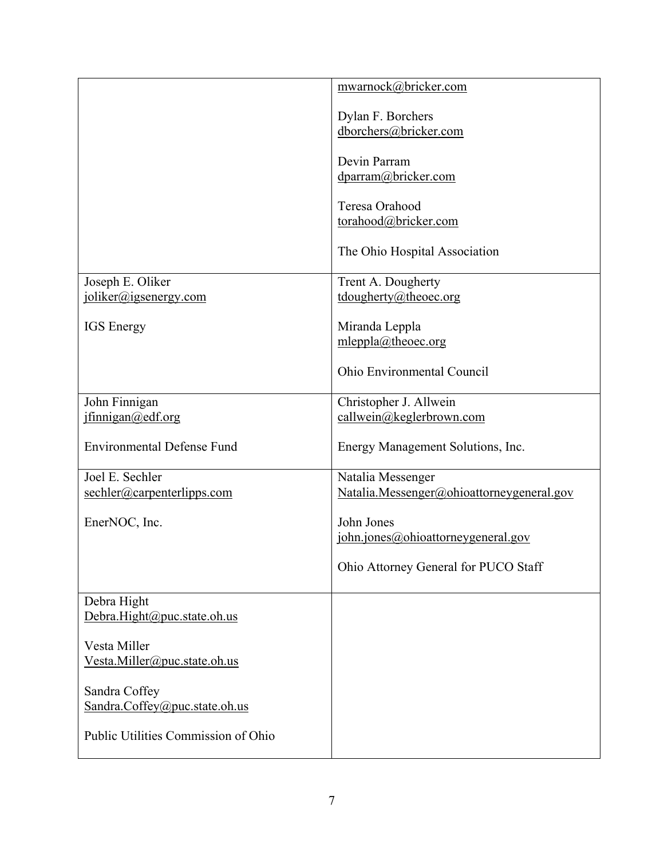|                                                        | mwarnock@bricker.com                       |
|--------------------------------------------------------|--------------------------------------------|
|                                                        |                                            |
|                                                        | Dylan F. Borchers<br>dborchers@bricker.com |
|                                                        |                                            |
|                                                        | Devin Parram                               |
|                                                        | dparram@bricker.com                        |
|                                                        | Teresa Orahood                             |
|                                                        | torahood@bricker.com                       |
|                                                        |                                            |
|                                                        | The Ohio Hospital Association              |
| Joseph E. Oliker                                       | Trent A. Dougherty                         |
| joliker@igsenergy.com                                  | tdougherty@theoec.org                      |
|                                                        |                                            |
| <b>IGS</b> Energy                                      | Miranda Leppla<br>mleppla@theoec.org       |
|                                                        |                                            |
|                                                        | Ohio Environmental Council                 |
| John Finnigan                                          | Christopher J. Allwein                     |
| jfinnigan@edf.org                                      | callwein@keglerbrown.com                   |
| <b>Environmental Defense Fund</b>                      | Energy Management Solutions, Inc.          |
| Joel E. Sechler                                        | Natalia Messenger                          |
| $\frac{\text{sechler}(a) \text{capenterlipps.com}}{a}$ | Natalia.Messenger@ohioattorneygeneral.gov  |
| EnerNOC, Inc.                                          | John Jones                                 |
|                                                        | john.jones@ohioattorneygeneral.gov         |
|                                                        |                                            |
|                                                        | Ohio Attorney General for PUCO Staff       |
| Debra Hight                                            |                                            |
| Debra.Hight@puc.state.oh.us                            |                                            |
|                                                        |                                            |
| Vesta Miller<br>Vesta.Miller@puc.state.oh.us           |                                            |
|                                                        |                                            |
| Sandra Coffey                                          |                                            |
| Sandra.Coffey@puc.state.oh.us                          |                                            |
| Public Utilities Commission of Ohio                    |                                            |